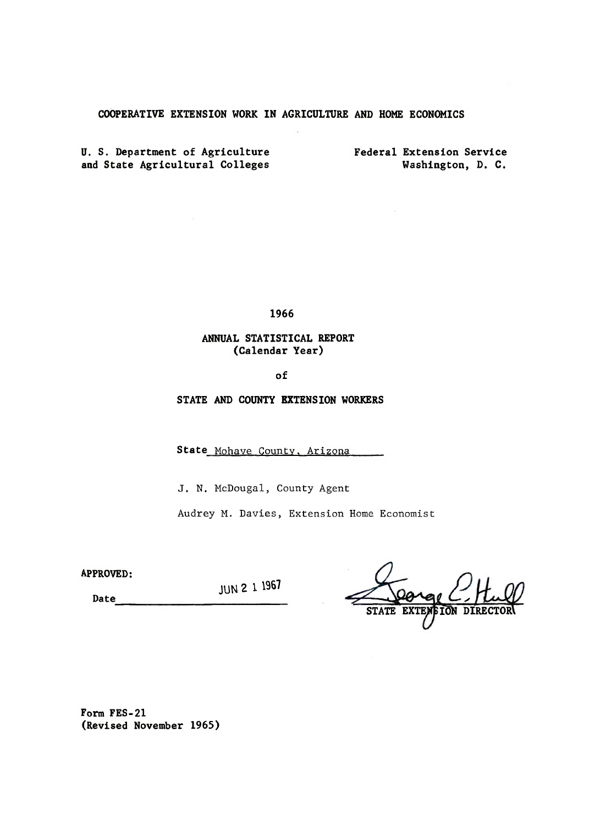## COOPERATIVE EXTENSION WORK IN AGRICULTURE AND HOME ECONOMICS

U. S. Department of Agriculture and State Agricultural Colleges

Federal Extension Service Washington, D. C.

1966

## ANNUAL STATISTICAL REPORT (Calendar Year)

of

STATE AND COUNTY EXTENSION WORKERS

State Mohave County, Arizona

J. N. McDougal, County Agent

Audrey M. Davies, Extension Home Economist

APPROVED:

JUN 2 1 1967

Date

ION DIRI

Form FES-2l (Revised November 1965)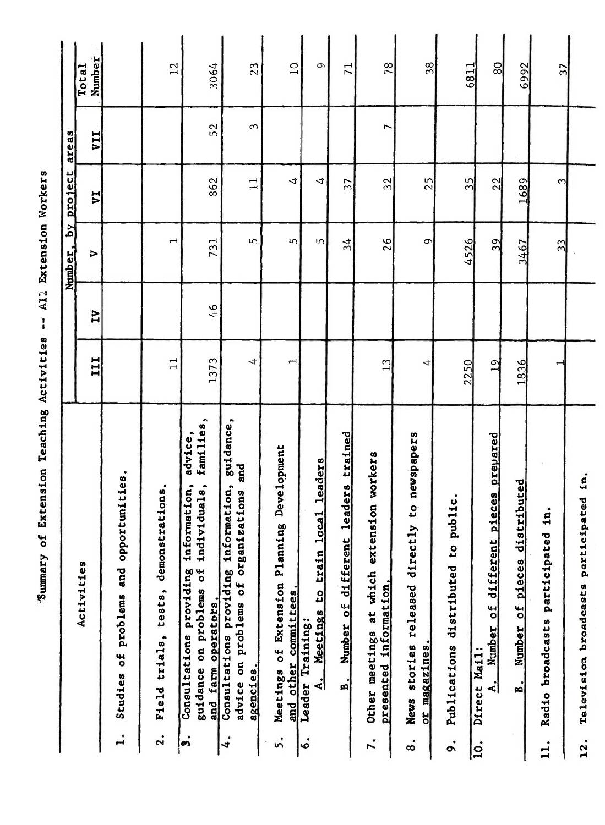"Summary of Extension Teaching Activities -- All Extension Workers

|                                                                                                                                                          |                |                | Number, by project       |                | areas      |                 |
|----------------------------------------------------------------------------------------------------------------------------------------------------------|----------------|----------------|--------------------------|----------------|------------|-----------------|
| Activities                                                                                                                                               | III            | N              | $\triangleright$         | $\overline{v}$ | <b>IIA</b> | Number<br>Total |
| Studies of problems and opportunities.<br>$\mathbf{I}$                                                                                                   |                |                |                          |                |            |                 |
| Field trials, tests, demonstrations.<br>$\ddot{\mathbf{r}}$                                                                                              | $\Box$         |                | $\overline{\phantom{0}}$ |                |            | 12              |
| families,<br>advice,<br>viduals,<br>information,<br>indi<br>Consultations providing<br>guidance on problems of<br>and farm operators.<br>$\dot{\bullet}$ | 1373           | 6 <sup>4</sup> | 731                      | 862            | 52         | 3064            |
| guidance,<br>and<br>Consultations providing information,<br>zations<br>advice on problems of organi<br>agencies.<br>$\ddot{4}$                           | 4              |                | S                        | $\Box$         | S          | 23              |
| Development<br>$\mathbf{a}_0$<br>Planni<br>Meetings of Extension<br>and other committees.<br>ທ່                                                          | Ē              |                | 5                        | 4              |            | $\overline{10}$ |
| ocal leaders<br>Meetings to train 1<br>Leader Training:<br>$\mathbf{A}$<br>è.                                                                            |                |                | m                        | 4              |            | 9               |
| leaders trained<br>Number of different<br>B.                                                                                                             |                |                | 34                       | 57             |            | 71              |
| nsion workers<br>which exte<br>presented information.<br>at<br>Other meetings<br>r.                                                                      | $\mathbf{L}^3$ |                | 26                       | 32             | ſ          | 78              |
| newspapers<br>ů,<br>1y<br>released direct<br>or magazines.<br>stories<br><b>News</b><br>$\dot{\circ}$                                                    | 4              |                | $\sigma$                 | 25             |            | 38              |
| public.<br>CO<br>Publications distributed<br>$\ddot{\boldsymbol{\delta}}$                                                                                | 2250           |                | 4526                     | $\frac{5}{5}$  |            | 6811            |
| pieces prepared<br>Number of different<br>Direct Mail:<br>$\mathbf{A}$<br>$\overline{10}$ .                                                              | 19             |                | 39                       | 22             |            | 80              |
| Number of pieces distributed<br>$\overline{B}$ .                                                                                                         | 1836           |                | 3467                     | 1689           |            | 6992            |
| in.<br>Radio broadcasts participated<br>11.                                                                                                              | ٣              |                | 33                       | നി             |            | $\overline{37}$ |
| q<br>Television broadcasts participated<br>12.                                                                                                           |                |                |                          |                |            |                 |
|                                                                                                                                                          |                |                |                          |                |            |                 |
|                                                                                                                                                          |                |                |                          |                |            |                 |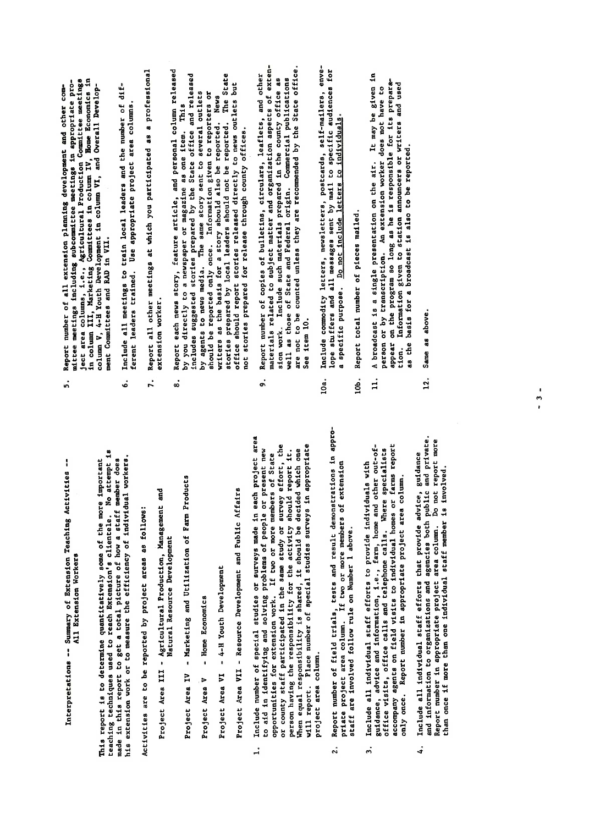$\mathbf{I}$ Interpretations -- Summary of Extension Teaching Activities<br>All Extension Workers made an ents teport to goe a term return of individual workers.<br>his extension work or to measure the efficiency of individual workers.

Activities are to be reported by project areas as follows:

- Project Area III Agricultural Production, Management and Natural Resource Development
- Marketing and Utilization of Farm Products Project Area IV
- Home Economics Project Area V

Project Area VI - 4-H Youth Development

Project Area VII - Resource Development and Public Affairs

- $\frac{1}{2}$  $\mathbf{R}$ eropriate project area column. Do not report  $\mathbf{R}$ than once if more than one individual staff member is involved. project area column.  $\ddot{ }$ 
	- Acport number of fitting column. If two or more members of extension<br>priate project area column. If two or more members of extension staff are involved follow rule on Number 1 above.  $\ddot{\phantom{a}}$
- Include all individual staff efforts to provide individuals with only once. Report number in appropriate project area column.  $\ddot{ }$
- and information to organizations and agencies both public and private.<br>Report number in appropriate project area column. Do not report more Include all individual staff efforts that provide advice, guidance than once if more than one individual staff member is involved.  $\ddot{ }$
- Report number of all extension planning development and other com-Project Area<br>Project Area<br>II - Area  $\sum_{i=1}^{n}$ project area column.  $\ddot{5}$ 
	-
- 
- $\vec{n}$  -- Summary of Extension  $\vec{r}$  -- Summary of Extension Teaching Activities -- $\begin{array}{ccc} \overline{a} & \overline{a} & \overline{b} & \overline{c} \\ \overline{a} & \overline{b} & \overline{c} & \overline{c} \end{array}$ France and the more important<br>teaching techniques used to reach the more important important in the more important is report to the more important member of  $\frac{10}{10}$ , where  $\frac{10}{10}$ , where  $\frac{10}{10}$ , where  $\frac{10}{1$ his extension workers. Workers the efficiency of the efficiency of the effects of the effects of the efficienc Activities are to be reported by project areas as follows: Agricultural Production, Management and Production, Management and Production, Ma Assura Aart Resource Development  $\mathbf{H}$  and  $\mathbf{H}$  are  $\mathbf{H}$  and  $\mathbf{H}$  are  $\mathbf{H}$   $\mathbf{H}$  and  $\mathbf{H}$  are  $\mathbf{H}$  are  $\mathbf{H}$  and  $\mathbf{H}$ Project Area V - Home Economics Project Area VI - 4-H Youth Development Project Area Views Affairs and Public Affairs 1. Include number of special studies of special studies or surveys made in the survey of the interest areas in<br>1. Include in each project areas in the survey of the interest areas in the interest areas in the interest are to a solving and solving problems of people or problems of people or problems of people or problems of people <br>The problems of people or problems of people or problems of people or problems of people or problems of people opportunities for extension work. It is a sense of the state of the state of the state of the state of the sta or county stated in the same stated in the same study of the same study of the same study of the same study of person have responsible the responsibility for the activity for the activity of the activity of the activity o<br>It. It is a complete a consider the activity of the activity of the activity of the activity of the activity o When e should be decided which one of the decidence which one of the decidence which one of the decident which<br>The decident which one of the decident which one of the decident which one of the decidence of the decidence o will report. Place number of special studies surveys in a proprietory of surveys in a proprietory in a propriet<br>Place of surveys in appropriate surveys in a proprietory in a proprietory in a proprietory in a proprietory in 2. Report number of field trials, tests and result demonstrations in appropriate project and column to the project and the project and the project and the project of the set of the set<br>I began to provide the project of the project of the set of the set of the set of the set of the set of the se staff ar involved following following following following following following following following for  $\sim$  $\frac{1}{2}$ 5. Include all individual state in provide in  $\frac{1}{2}$ guidance, advice and information, i.e., farm, home and other out-of-
	- $\begin{array}{ccc} \circ & \circ & \circ & \circ & \circ & \circ \end{array}$ accompany agents on field visits to individual homes or farms  $\mathcal{A}$ 
		-
- 
- as the basis for a broadcast is also to be reported. tion.
- Same as above. 12.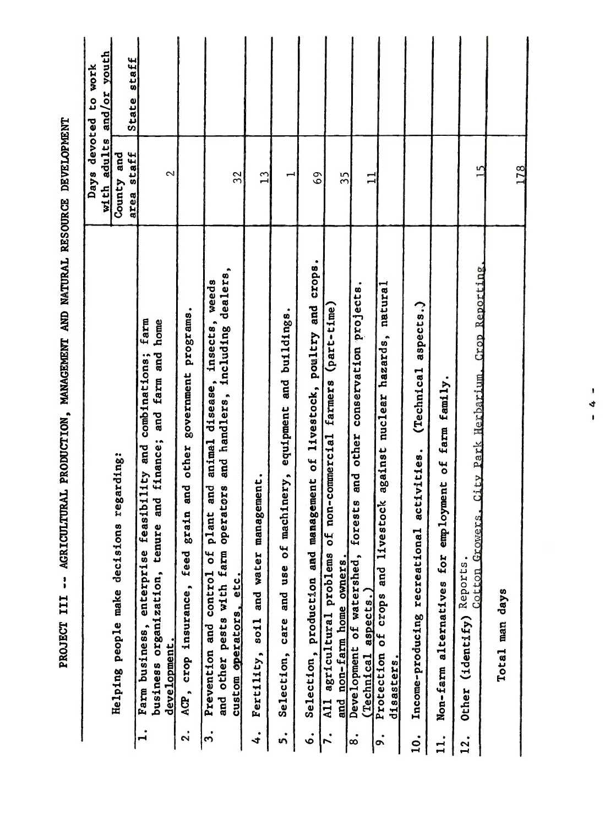|                   |                                                                                                                                                                                        | Days devoted<br>with adults | and/or youth<br>to work |
|-------------------|----------------------------------------------------------------------------------------------------------------------------------------------------------------------------------------|-----------------------------|-------------------------|
|                   | Helping people make decisions regarding:                                                                                                                                               | County and<br>area staff    | State staff             |
| $\vec{r}$         | farm<br>business organization, tenure and finance; and farm and home<br>Farm business, enterprise feasibility and combinations;<br>development.                                        | $\sim$                      |                         |
| $\mathbf{a}$      | programs.<br>government<br>other<br>grain and<br>feed<br>ACP, crop insurance,                                                                                                          |                             |                         |
| 3.                | and other pests with farm operators and handlers, including dealers,<br>weeds<br>insects,<br>disease,<br>animal<br>and<br>plant<br>Prevention and control of<br>custom operators, etc. | 32                          |                         |
| 4.                | Fertility, soil and water management.                                                                                                                                                  | $\mathbf{u}$                |                         |
| ທ່                | equipment and buildings.<br>aachinery,<br>$\frac{4}{\sigma}$<br>Selection, care and use                                                                                                | Ţ                           |                         |
| 。<br>。            | Selection, production and management of livestock, poultry and crops.                                                                                                                  | $\overline{6}$              |                         |
|                   | (part-time)<br>farmers<br>non-commercial<br>៩<br>All agricultural problems<br>and non-farm home owners.                                                                                | 35                          |                         |
| $\dot{\circ}$     | conservation projects.<br>other<br>and<br>forests<br>Development of watershed,<br>(Technical aspects.)                                                                                 |                             |                         |
| o.                | natural<br>against nuclear hazards,<br>stock<br>Protection of crops and live<br>disasters.                                                                                             |                             |                         |
| $\ddot{0}$ .      | aspects.)<br>(Technical<br>activities.<br>Income-producing recreational                                                                                                                |                             |                         |
|                   | employment of farm family.<br>for<br>Non-farm alternatives                                                                                                                             |                             |                         |
| $\overline{12}$ . | Cotton Growers, City Park Herbarium, Crop Reporting,<br>(identify) Reports.<br>Other                                                                                                   | m                           |                         |
|                   | Total man days                                                                                                                                                                         | 178                         |                         |

 $-4$   $-$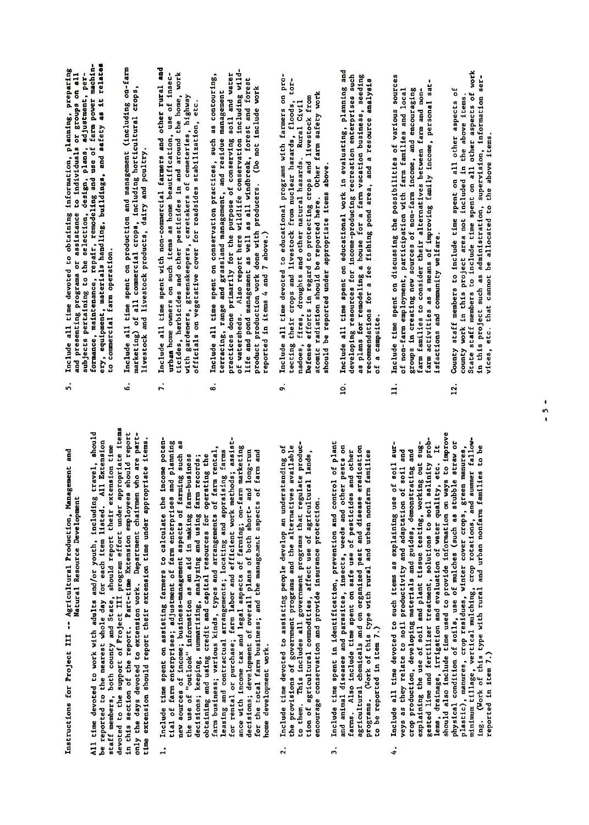Instructions for Project III -- Agricultural Production, Management and Natural Resource Development  $\mathbf{g}_{\text{max}} = \mathbf{g}_{\text{max}}$ All time devoted to work with adults and/or youth, including travel, should<br>be reported to the nearest whole day for each item listed. All Extension<br>staff members, both county and State, should report thair extension time<br>

- $\vec{P}$  density, irrigation and evaluation of water  $\vec{P}$  $\overline{5}$ should also include the used to provide the use of  $\overline{5}$ physical condition of soils, use of mulches as straw or mulches straw or mulches straighted straighted straigh plastic), manures, crop reSidues, winter cover crops, green manures, minimum tillage, vertical mulching, crop rotations, and supplying  $\frac{1}{2}$  and summer fallows, and summer fallowing. (Work of the type with rural and urban non-this type with rural and urban nonnome development work.  $\ddot{ }$ 
	- encourage conservation and provide insurance protection.  $\overline{2}$ .
- $\ddot{3}$
- $\mathbf{i}$ sti $\mathbf{j}$ explaining the use of soil and plant tissue testing, working out sugveys as they relate to soil productivity and adaptation of soil and crop production, developing materials and guides, demonstrating and  $12.6$  County state time spent on all other aspects of  $\overline{a}$ county work in this project area not included in the above items.  $\begin{array}{c}\n 0 \text{ if } n \neq n \text{ if } n \neq n \text{ if } n \neq n \end{array}$ in this project such as administration, supervision, information ser- $\vec{z}$  etc. that can not be above items. reported in item 7.) 4.
- Instructions for Project III -- Agricultural Production, Management and Include all time devoted to obtaining information, planning, preparing<br>and presenting programs or assistance to individuals or groups on all<br>subjects pertaining to the sr. rendering leagh, planes adjustment, pertain<br>format
	-
	- to be reported in item 7.
	- Include all time spent on conservation practices, such as contouring,<br>terracing, range and grassland management, and residue management<br>of ractices done primarily for the purpluse of conserving soil and water<br>of ractices d All time devoted to work with a search with a should be a should be a should be a should be a should be a shou<br>All the should travel to what with a should be a should be a should be a should be a should be a should be a s  $\begin{bmatrix} 0 & \frac{1}{2} & \frac{1}{2} & \frac{1}{2} & \frac{1}{2} & \frac{1}{2} & \frac{1}{2} & \frac{1}{2} & \frac{1}{2} & \frac{1}{2} & \frac{1}{2} & \frac{1}{2} & \frac{1}{2} & \frac{1}{2} & \frac{1}{2} & \frac{1}{2} & \frac{1}{2} & \frac{1}{2} & \frac{1}{2} & \frac{1}{2} & \frac{1}{2} & \frac{1}{2} & \frac{1}{2} & \frac{1}{2} & \frac{1}{2} & \frac{1}{2} & \frac{1}{2} & \frac{$ staff members, both county and States, should report the should report the should report the should report the<br>Show their extension time the should report the should report that the should report that the should report th devoted to the support of Project III program effort under a project in the support of Project II project item<br>The support of Project II project items in the support of the support of the support of the support of the sup in this section of the report of the report of the report of the report of the report of the report of the rep only the days devoted to extra devoted to extension the parttime extension should represent the showld report the unit of the unit of the under approximate items. 1. Include time spent on assisting farmers to calculate the income potential of farmers; and planning of farmers and planning of farmers and planning and planning and planning and pl<br>Beginning and planning and planning and planning and planning and planning and planning and planning and plann  $\overline{a}$  so sources as the sources of farming such aspects of  $\overline{a}$  as  $\overline{a}$  as  $\overline{a}$  as  $\overline{a}$  as  $\overline{a}$  as  $\overline{a}$  as  $\overline{a}$  as  $\overline{a}$  as  $\overline{a}$  as  $\overline{a}$  as  $\overline{a}$  as  $\overline{a}$  as  $\overline{a}$  as  $\over$ the use of "outlook" in making and in making farm-business decisions; keeping, summarizing, analyzing and using farm records; obtaining credit and using credit and capital resources for the capital resources for  $\frac{1}{2}$ farm business; various arrangements of the arrangements of the arrangements of the arrangements of the contract leasing and contractual arrangements; locating and appraising farms for rental or purchase; farm labor and efficient work methods; assisted work methods; assisted work methods; a<br>Efficient work methods; assisted work methods; assisted work methods; assisted work methods; assisted work met ance with income tax and legal aspects of the legal aspects of the legal aspects of the legal of the legal of decisions; development of the plans of the plans of both short- and longfor the total farmers; and the management; and the management; and the management; and the management; and the 2. Include time devoted to assisting people develop an understanding of the provincial provisions of and the alternatives and the alternatives and the alternatives and the alternativ to the manual government produces and all government produces and all government products and all government p<br>The manual products and all government products and all government products and all government products and al tion of a gradies, agricultural commodities, and a gradient use of a gradient use of a gradient use of a gradi encourage conservation and provide insurance insurance provide insurance provided in a providence protection. 3. Include time spent in identification, prevention and control of plant and and and parasites and parasites and pests on the pests of the pests of the pests of the person of the person on the person of the person of the person of the person of the person of the person of the person of the pers farms. Also include time spent on spent on safe use of personal personal personal personal personal personal p  $\frac{1}{2}$ ricultural chemicals and on organized pest and disease era and disease era disease era disease era programs. (Work of this type with rural and urban non-
	- 4. Include all time devoted to such items as explaining use of soil sur-
- 
- of non-farm employment, participation with farm families and local groups in creating new sources of non-farm income, and encouraging farm families to consider their alternatives between farm and non- $\mathbf{u}$ 11. Include time spent on discussing the possibilities of various sources
- $\mathbf{r}$  include all time devoted to obtaining information, planning, planning, planning, planning, preparing, planning, planning, planning, planning, planning, planning, planning, planning, planning, planning, planning,  $\frac{d}{dt}$  bresht programs or assistance to individuals or groups or groups or groups of  $t$  $\mathbf{S}$  by the selection, and plans, adjustment, plans, adjustment, perf $f^{\prime}$  and use of farm power maintenance, repair, repair, repair, respectively.  $\begin{array}{c} 0.9666 \ \text{m} \end{array}$  and safety are later as it relates to  $\begin{array}{c} 0.9666 \ \text{m} \end{array}$  $t^2$  commercial farm operation.  $\frac{1}{2}$  including all time spent on  $\frac{1}{2}$  $\lim_{\substack{n \to \infty}} \frac{a_n}{n}$ livestock and livestock products, dairy and poultry.  $7.711$   $2.51$   $2.51$   $2.51$   $2.51$   $2.51$   $2.51$   $2.51$   $2.51$   $2.51$   $2.51$   $2.51$   $2.51$   $2.51$   $2.51$   $2.51$   $2.51$   $2.51$   $2.51$   $2.51$   $2.51$   $2.51$   $2.51$   $2.51$   $2.51$   $2.51$   $2.51$   $2.51$   $2.51$   $2.51$   $2.51$   $2.$  $\vec{a}$  as home beautification, use of insection, use of insection, use of  $\vec{a}$ ticides, herbicides and other pesticides in and around the home, work  $\frac{d}{d}$  greenskeepers, caretakers of cemeteries,  $\frac{d}{d}$ officials on vegetative cover for roadsides stabilization, etc.  $8.18660$  $\frac{1}{2}$  and  $\frac{1}{2}$  and  $\frac{1}{2}$  and  $\frac{1}{2}$  and  $\frac{1}{2}$  and  $\frac{1}{2}$  and  $\frac{1}{2}$  and  $\frac{1}{2}$  and  $\frac{1}{2}$  and  $\frac{1}{2}$  and  $\frac{1}{2}$  and  $\frac{1}{2}$  and  $\frac{1}{2}$  and  $\frac{1}{2}$  and  $\frac{1}{2}$  and  $\frac{1}{2}$  a practices done primarily for the purpose of conserving soil and water  $\begin{bmatrix} 0 & 0 & 0 \\ 0 & 0 & 0 \\ 0 & 0 & 0 \end{bmatrix}$  $\frac{a}{b}$  and  $\frac{a}{b}$  as well as well as  $\frac{a}{b}$  $p$  production with producers. (Do not include work do not include work do not include work  $p$  $r_{\rm c}$  and  $r_{\rm c}$  and 7 above.  $\frac{9.16}{2.5}$  becomes all time devoted to educations with  $\frac{1}{2}$  $\frac{1}{2}$  the crops and livestock from nuclear hazards, floods, tor- $\frac{1}{2}$  in the state and other natural hazards. Rural Civilians and other natural civilians  $\frac{1}{2}$  $\begin{array}{c}\n\bullet \\
\bullet \\
\bullet \\
\bullet\n\end{array}$  in regard to protecting crops and livestock from  $\begin{array}{c}\n\bullet \\
\bullet \\
\bullet \\
\bullet\n\end{array}$  $\mathbf{f}$  radiation should be reported here. Other farm safety works works are safety works works works as  $\mathbf{f}$  $\mathbf{B} \neq \mathbf{B}$  and a one-derivative.  $10.5$   $\frac{10.5}{0.5}$   $\frac{10.5}{0.5}$   $\frac{10.5}{0.5}$   $\frac{10.5}{0.5}$   $\frac{10.5}{0.5}$  $\tilde{\mathbf{c}}$ developing resources for income-producing recreation enterprises such as  $\tilde{\mathbf{c}}$  $\frac{1}{2}$  is the contraction business, seeding a farm vacation business, seeding  $\frac{1}{2}$ recommendations for <sup>a</sup> fee fishing pond area, and <sup>a</sup> resource ana1Y8is  $\sim$   $\sim$   $\sim$   $\sim$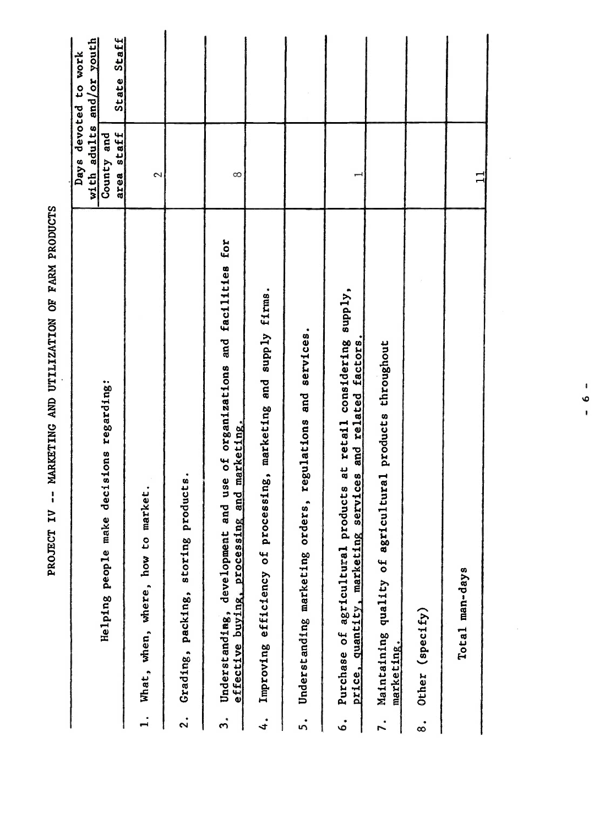|               |                                                                                                                                |             | Days devoted to work |
|---------------|--------------------------------------------------------------------------------------------------------------------------------|-------------|----------------------|
|               |                                                                                                                                | with adults | and/or youth         |
|               | Helping people make decisions regarding:                                                                                       | County and  |                      |
|               |                                                                                                                                | area staff  | State Staff          |
|               | market.<br>What, when, where, how to                                                                                           | 2           |                      |
| $\mathbf{S}$  | products.<br>Grading, packing, storing                                                                                         |             |                      |
| ຕໍ            | and use of organizations and facilities for<br>effective buying, processing and marketing.<br>Understanding, development       | $\infty$    |                      |
| 4.            | Improving efficiency of processing, marketing and supply firms.                                                                |             |                      |
| 5.            | Understanding marketing orders, regulations and services.                                                                      |             |                      |
| ه.<br>ف       | Purchase of agricultural products at retail considering supply,<br>services and related factors.<br>price, quantity, marketing |             |                      |
| 7.            | Maintaining quality of agricultural products throughout<br>marketing.                                                          |             |                      |
| $\dot{\circ}$ | Other (specify)                                                                                                                |             |                      |
|               | Total man-days                                                                                                                 |             |                      |
|               |                                                                                                                                |             |                      |

PROJECT IV -- MARKETING AND UTILIZATION OF FARM PRODUCTS

 $\ddot{\phantom{0}}$ 

 $-6 -$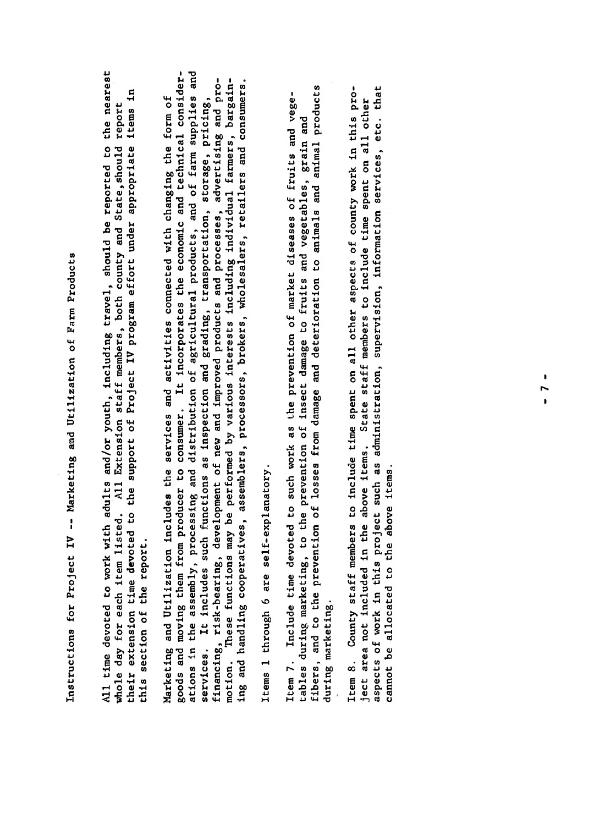Instructions for Project IV -- Marketing and Utilization of Farm Products

All time devoted to work with adults and/or youth, including travel, should be reported to the nearest this section of the report.

Instructions for  $P$  --  $M$  --  $M$  --  $M$  --  $M$  --  $M$  --  $M$  --  $M$  --  $M$  --  $M$  --  $M$  --  $M$  --  $M$  --  $M$  --  $M$  --  $M$  --  $M$  --  $M$  --  $M$  --  $M$  --  $M$  --  $M$  --  $M$  --  $M$  --  $M$  --  $M$  --  $M$  --  $M$  --  $M$  - whole day for each item listed. All Extension staff members, both county and State,should report<br>their extension time devoted to the support of Project IV program effort under appropriate items in<br>this section of the repor All time devoted to and-original with a should be reported to the nearest of the nearest of the nearest of the<br>
Including travel, should be reported to the nearest of the nearest of the nearest of the nearest of the neares  $\mathbb{R}$  decreases the members of  $\mathbb{R}$  and  $\mathbb{R}$  and  $\mathbb{R}$  and  $\mathbb{R}$  and  $\mathbb{R}$  and  $\mathbb{R}$  and  $\mathbb{R}$  and  $\mathbb{R}$  and  $\mathbb{R}$  and  $\mathbb{R}$  and  $\mathbb{R}$  are points of  $\mathbb{R}$  and  $\mathbb{R}$  and  $\mathbb{R}$ the support of the support of Project IV project IV project IV project IV project IV project in the support un<br>The support of Project IV project in the support under a project in the support of the support of the support  $\begin{bmatrix} 1 & 1 \\ 0 & 0 \end{bmatrix}$  section of  $\begin{bmatrix} 1 & 0 \\ 0 & 1 \end{bmatrix}$ Marketing and Utilization includes the services and activities connected with changing the form of goods and moving them from producer to consumer. It incorporates the economic and technical considerations in the assembly, processing and distribution of agricultural products, and of farm supplies and estervices. It is included as included and grading, the such function and grading, price  $\frac{1}{2}$  in the storage, price  $\frac{1}{2}$  in the such function, storage, price  $\frac{1}{2}$  in the such function, storage, price  $\frac{1}{2$ financing, risk-bearing, development of new and improved products and processes, advertising and promotion. These functions may be performed by various interests in the performance of the performance in the per<br>The performance in the performance in the performance in the performance in the performance in the performance ing and handling cooperatives, assemblers, processors, brokers, wholesalers, retailers and consumers. Items 1 through 6 are self-explanatory.  $\begin{array}{ccc} \texttt{u} & \texttt{v} & \texttt{v} & \texttt{v} & \texttt{v} \\ \texttt{v} & \texttt{v} & \texttt{v} & \texttt{v} & \texttt{v} & \texttt{v} \\ \texttt{v} & \texttt{v} & \texttt{v} & \texttt{v} & \texttt{v} & \texttt{v} \\ \texttt{v} & \texttt{v} & \texttt{v} & \texttt{v} & \texttt{v} & \texttt{v} \end{array}$  $\begin{bmatrix} 1 & 0 & 0 & 0 \\ 0 & 0 & 0 & 0 \\ 0 & 0 & 0 & 0 \\ 0 & 0 & 0 & 0 \end{bmatrix}$ fibers, and to the prevention of losses from damage and deterioration to animals and animal products Item 8. County staff members to include time spent on all other aspects of county work in this proincluded included in the above items. State state state state state state state in the above items. State spen<br>The above it members to include the spent on all other spent on all other spent on all other spent on all othe as a spectrum of work in this project such as a supervision, information, information,  $\frac{1}{2}$  is  $\frac{1}{2}$  information,  $\frac{1}{2}$  in  $\frac{1}{2}$  in  $\frac{1}{2}$  in  $\frac{1}{2}$  is  $\frac{1}{2}$  in  $\frac{1}{2}$  in  $\frac{1}{2}$  in  $\frac{1}{2$ cannot be a sense item annual annual annual annual annual annual annual annual annual annual annual annual ann<br>Legendature in the annual annual annual annual annual annual annual annual annual annual annual annual annual motion.

Items 1 through 6 are self-explanatory.

during marketing.

cannot be allocated to the above items.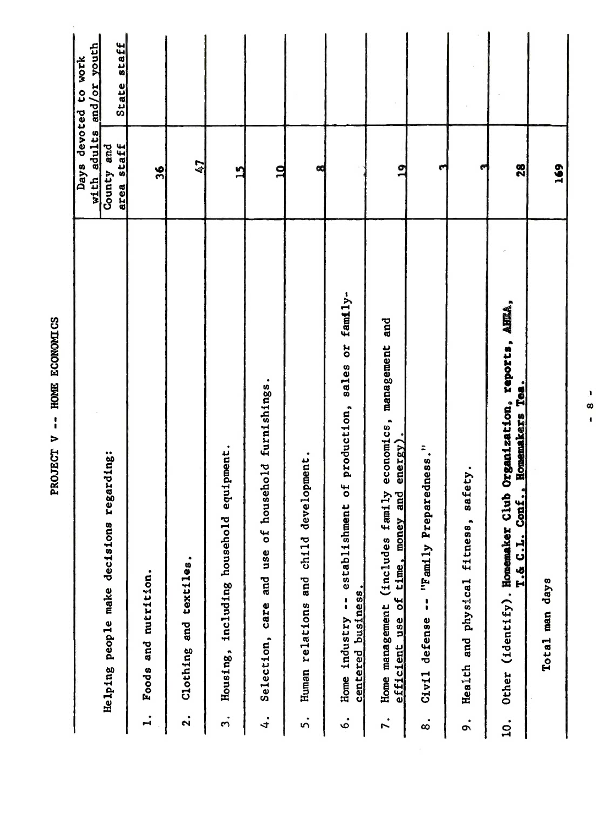|               |                                                                                                               | with adults     | and/or youth<br>Days devoted to work |
|---------------|---------------------------------------------------------------------------------------------------------------|-----------------|--------------------------------------|
|               | regarding:<br>Helping people make decisions                                                                   | County and      |                                      |
|               |                                                                                                               | area staff      | State staff                          |
| $\mathbf{I}$  | Foods and nutrition.                                                                                          | 36              |                                      |
| $\ddot{2}$    | Clothing and textiles.                                                                                        | 47              |                                      |
| $\ddot{ }$    | equipment.<br>including household<br>Housing,                                                                 | $\overline{15}$ |                                      |
| 4.            | household furnishings.<br>$\mathfrak{b}$<br>Selection, care and use                                           | $\overline{10}$ |                                      |
| ທໍ            | evelopment.<br>σ<br>Human relations and child                                                                 | œ               |                                      |
| $\dot{\circ}$ | establishment of production, sales or family-<br>centered business.<br>$\frac{1}{4}$<br>Home industry         |                 |                                      |
| 7.            | and<br>economics, management<br>efficient use of time, money and energy).<br>Home management (includes family | $\overline{a}$  |                                      |
| $\dot{\circ}$ | "Family Preparedness."<br>Civil defense                                                                       | m               |                                      |
| o.            | safety.<br>Health and physical fitness,                                                                       | ø               |                                      |
| 10.           | Club Organization, reports, AHEA,<br>Conf., Homemakers Tea.<br>Other (identify). Homemaker<br>T.& C.L.        | 28              |                                      |
|               | Total man days                                                                                                | 169             |                                      |
|               | D<br>∞<br>$\bullet$                                                                                           |                 |                                      |
|               |                                                                                                               |                 |                                      |
|               |                                                                                                               |                 |                                      |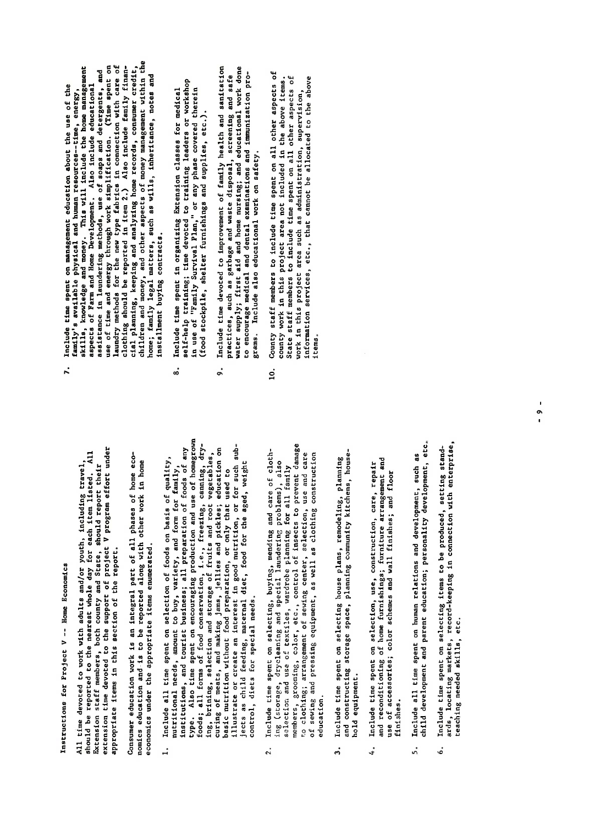Instructions for Project V -- Home Economics

time devoted to work with adults and/or youth, including travel, appropriate items in this section of the report.  $\overline{41}$ 

economics under the appropriate items enumerated.

- should be reported to the nearest whole day for each item listed. All Extension staff members, both county and State, should report their<br>extension time devoted to the aupport of project V program effort under<br>extension ti 6. Include time spent on selecting items to be produced, setting standards, locating markets, record-keeping in connection with  $\frac{1}{n}$  with  $\frac{1}{n}$   $\frac{1}{n}$   $\frac{1}{n}$   $\frac{1}{n}$   $\frac{1}{n}$   $\frac{1}{n}$   $\frac{1}{n}$   $\frac{1}{n}$   $\frac{1}{n}$   $\frac{1}{n}$   $\frac{1}{n}$   $\frac{1}{n}$   $\frac{1}{n}$   $\frac{1}{n}$   $\frac{1}{n}$ basic nutrition without food preparation, or only that used to control, diets for special needs.  $\ddot{ }$ 
	- selection and use of textiles, wardrobe planning for all family education.  $\ddot{2}$ .
- hold equipment. 3.
- Include time spent on selection, use, construction, care, repair use of accessories; color schemes and wall finishes; and floor finishes.  $\ddot{ }$
- Include all time spent on human relations and development, such as<br>child development and parent education; personality development, etc.  $\ddot{5}$ .
- ards, locating markets, record-keeping in connection with enterprise, Include time spent on selecting items to be produced, setting standteaching needed skills, etc. ė.
- Instructions for Project <sup>V</sup> -- .Home Economics aspects of Farm and Home Development. Also include educational assistance in laundering methods, use of soaps and detergents, and use of time and energy through work simplification. (Time spent on clubing should be reporte  $\frac{1}{2}$  and the devoted to work with a set of  $\frac{1}{2}$  and  $\frac{1}{2}$  and  $\frac{1}{2}$  and  $\frac{1}{2}$  and  $\frac{1}{2}$  and  $\frac{1}{2}$  and  $\frac{1}{2}$  and  $\frac{1}{2}$  and  $\frac{1}{2}$  and  $\frac{1}{2}$  and  $\frac{1}{2}$  and  $\frac{1}{2}$  and  $\frac{1$  $\kappa$ and be reported to the nearest whole day for each interest who is a contribution of  $\kappa$ Extension state, both county and State of the State of the State of the State of the State of the State of the<br>Extension of the State of the State of the State of the State of the State of the State of the State of the St extension time devoted to the support of project v project v project v project v project v project v project v<br>Extension of project v project v project v project v project v project v project v project v project v project appropriate in the report is a report of the report of the report of the report of the report of the report of<br>The report of the report of the report of the report of the report of the report of the report of the report o  $\frac{1}{2}$  and  $\frac{1}{2}$  is a set of a set  $\frac{1}{2}$  and  $\frac{1}{2}$  and  $\frac{1}{2}$  are equal phases of  $\frac{1}{2}$  and  $\frac{1}{2}$  and  $\frac{1}{2}$  are equal phases of  $\frac{1}{2}$  and  $\frac{1}{2}$  and  $\frac{1}{2}$  are equal phases of  $\frac{1$ nomics education and is to be reported along with the report of the report of the report of the report of the <br>The report of the report of the report of the report of the report of the report of the report of the report o economics under the appropriate items enumerated.  $1.7$   $1.6$   $1.6$   $1.6$   $1.6$   $1.6$   $1.6$   $1.6$   $1.6$   $1.6$   $1.6$   $1.6$   $1.6$   $1.6$   $1.6$   $1.6$   $1.6$   $1.6$   $1.6$   $1.6$   $1.6$   $1.6$   $1.6$   $1.6$   $1.6$   $1.6$   $1.6$   $1.6$   $1.6$   $1.6$   $1.6$   $1.6$   $1.6$   $1.6$   $1.6$   $1.6$   $1.6$ nutritional needs, and form for family, and form for family, and for family, and for family, and for family, a<br>In family, and for family, and for family, and for family, and for family, and for family, and for family, and  $\vec{a}$ using business; and to any preparation of  $\vec{a}$  and  $\vec{b}$  and  $\vec{a}$  and  $\vec{b}$  and  $\vec{a}$  and  $\vec{a}$  and  $\vec{a}$  and  $\vec{a}$  and  $\vec{a}$  and  $\vec{a}$  and  $\vec{a}$  and  $\vec{a}$  and  $\vec{a}$  and  $\vec{a}$  and  $\vec{$ type. Also time spent on encouraging production and use of homegrown foods; all foods; all food conservation, i.e., freezing, cannot conserve the conserve of the cannot conserve t<br>He was dry - in the canoning, dry-- i.e., freezing, dry-- i.e., freezing, dry-- i.e., freezing, dry-- i.e., fr ing, britis and storage of fruits and storage of fruits and root vegetables, and root vegetables, and root veg<br>Britis and root vegetables, and root vegetables, and root vegetables, and root vegetables, and root vegetables curing of meats, and making  $\frac{1}{2}$  meats,  $\frac{1}{2}$  meats,  $\frac{1}{2}$  meats,  $\frac{1}{2}$  meats,  $\frac{1}{2}$  meats,  $\frac{1}{2}$  meats,  $\frac{1}{2}$  meats,  $\frac{1}{2}$  meats,  $\frac{1}{2}$  meats,  $\frac{1}{2}$  meats,  $\frac{1}{2}$  meats,  $\frac{1}{$ basic nutrition with the preparation of the present of the use of the use of the use of the use of the used to eilest for create and interest interest in good number in good number of the sub- $\frac{1}{2}$  is child for the age of the age of the age of the age of the age of the age of the age of the age of the age of the age of the age of the age of the age of the age of the age of the age of the age of the age of control, die teenstelling<br>Beet on die teenstelling 2. Include the spent of cloth-spent of cloth-spent of cloth-spent of cloth-spent of cloth-spent of c<br>Extending and care of cloth-spent of cloth-spent of cloth-spent of cloth-spent of cloth-spent of cloth-spent o ing (storage, drycleaning and special language), and special language and special language and special languag  $\mathbb{R}$  and  $\mathbb{R}$  and  $\mathbb{R}$  and  $\mathbb{R}$  is  $\mathbb{R}$  .  $\frac{1}{2}$  and  $\frac{1}{2}$  and  $\frac{1}{2}$  and  $\frac{1}{2}$  and  $\frac{1}{2}$  and  $\frac{1}{2}$  and  $\frac{1}{2}$  and  $\frac{1}{2}$  and  $\frac{1}{2}$  and  $\frac{1}{2}$  and  $\frac{1}{2}$  and  $\frac{1}{2}$  and  $\frac{1}{2}$  and  $\frac{1}{2}$  and  $\frac{1}{2}$  and  $\frac{1}{2}$  a to close contra seminar center, seminar center, seminar center, seminar center, se of sewing and pressing and pressing equipment, as well as well as well as construction of the construction of 3. Include time spent on selection spent on selection and the spent of the spent of the spent of the spent of <br>The spent of the spent of the spent of the spent of the spent of the spent of the spent of the spent of the sp and construction storage space, planning community and community community and community community and communi hold equipment.  $\mathbf{r}$ 
	-
- 
- Include time devoted to improvement of family health and sanitation<br>practices, such as garbage and waste disposal, screening and safe<br>water supply; first aid and home nursing; and educational work done<br>grams. Include also  $\begin{array}{ccc} \infty & \infty & \infty, \end{array}$ and reconditioning of home furnishings; furniture arrangement and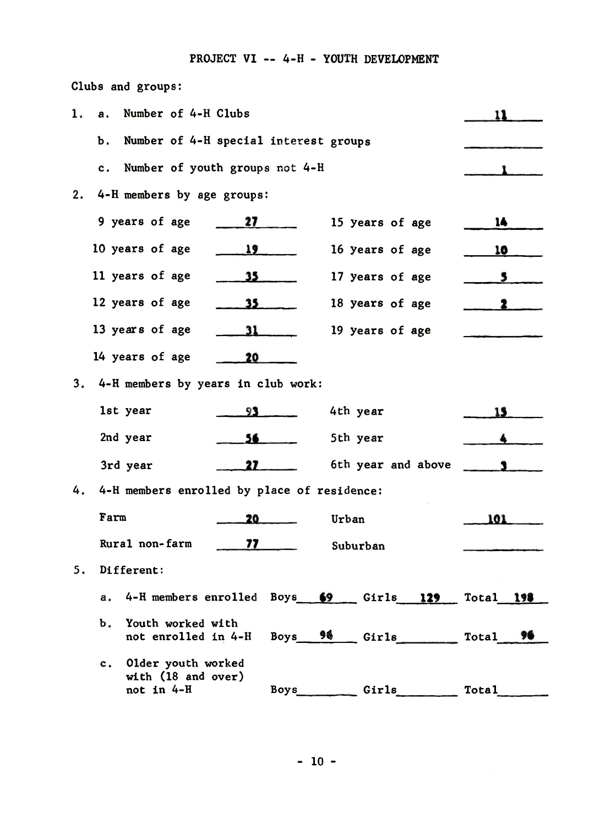## PROJECT VI -- 4-H - YOUTH DEVELOPMENT

| 1. | Number of 4-H Clubs<br>а.                                                              |              |
|----|----------------------------------------------------------------------------------------|--------------|
|    | Number of 4-H special interest groups<br>Ъ.                                            |              |
|    | Number of youth groups not 4-H<br>c.                                                   |              |
| 2. | 4-H members by age groups:                                                             |              |
|    | 9 years of age<br>27 <sub>2</sub><br>15 years of age                                   | 14           |
|    | 10 years of age<br>19<br>16 years of age                                               | <u>10</u>    |
|    | 11 years of age<br>35<br>17 years of age                                               | 5            |
|    | 12 years of age<br>35 <sub>1</sub><br>18 years of age                                  |              |
|    | 13 years of age<br>19 years of age<br>31                                               |              |
|    | 14 years of age<br>20                                                                  |              |
| 3. | 4-H members by years in club work:                                                     |              |
|    | 1st year<br>4th year<br>93                                                             | 15           |
|    | 2nd year<br>5th year<br>56                                                             |              |
|    | 6th year and above<br>3rd year<br>27                                                   |              |
| 4. | 4-H members enrolled by place of residence:                                            |              |
|    | Farm<br>20.<br>Urban                                                                   | 101          |
|    | Rural non-farm<br>77<br>Suburban                                                       |              |
| 5. | Different:                                                                             |              |
|    | 4-H members enrolled Boys 69<br>$Girls$ 129<br>а.                                      | Total 198    |
|    | Youth worked with<br>Ъ.<br>$Boys = 98$ Girls<br>not enrolled in 4-H                    | Total<br>76  |
|    | Older youth worked<br>$c_{\cdot}$<br>with (18 and over)<br>not in 4-H<br>Girls<br>Boys | <b>Total</b> |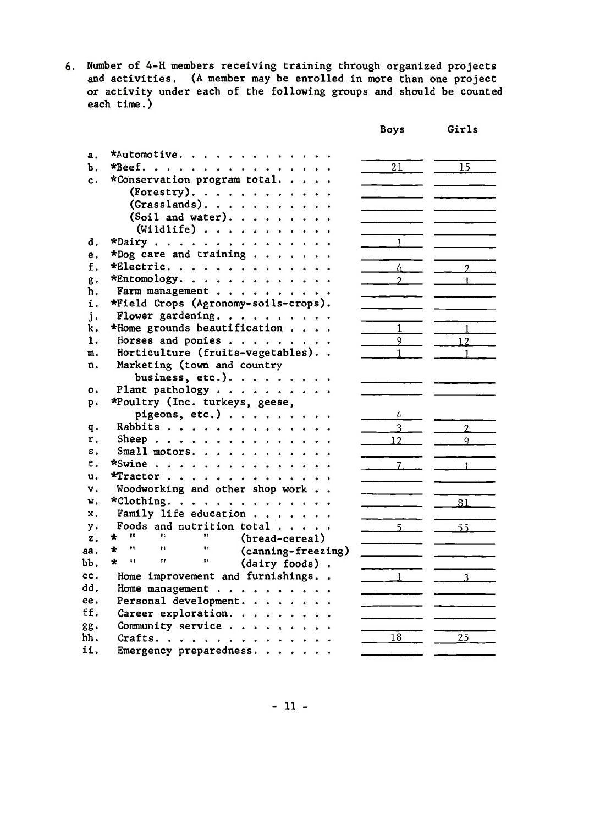6. Number of 4-H members receiving training through organized projects<br>and activities. (A member may be enrolled in more than one project<br>or activity under each of the following groups and should be counted each  $time.)$ 

|                |                                                                    | <b>Boys</b>    | Girls          |
|----------------|--------------------------------------------------------------------|----------------|----------------|
| $\mathbf{a}$ . | *Automotive.                                                       |                |                |
| Ъ.             | *Beef.                                                             | 21             | 15             |
| c.             | *Conservation program total                                        |                |                |
|                | (Forestry). $\cdots$ .                                             |                |                |
|                | (Grasslands).                                                      |                |                |
|                | (Soil and water).                                                  |                |                |
|                | $(\text{Width} \cdot \cdot \cdot \cdot \cdot \cdot \cdot \cdot$    |                |                |
| d.             | $*$ Dairy                                                          |                |                |
| e.             | *Dog care and training $\ldots$ .                                  |                |                |
| f.             | *Electric.                                                         | 4              | $\mathcal{P}$  |
| g.             | *Entomology.                                                       | $\mathcal{P}$  | $\mathbf{1}$   |
| h.             | Farm management                                                    |                |                |
| i.             | *Field Crops (Agronomy-soils-crops).                               |                |                |
| $\mathbf{i}$ . | Flower gardening.                                                  |                |                |
| k.             | *Home grounds beautification                                       | $\mathbf{1}$   | $\mathbf{1}$   |
| 1.             | Horses and ponies                                                  | $\overline{9}$ | 12             |
| m.             | Horticulture (fruits-vegetables)                                   | $\mathbf{1}$   | $\overline{1}$ |
| n.             | Marketing (town and country                                        |                |                |
|                | business, etc.).                                                   |                |                |
| о.             | Plant pathology $\cdots$                                           |                |                |
| p.             | *Poultry (Inc. turkeys, geese,                                     |                |                |
|                | pigeons, etc.)                                                     | 4              |                |
| q.             | Rabbits                                                            |                | $\overline{2}$ |
| r.             | Sheep                                                              | 12             | Q              |
| s.             | Small motors.                                                      |                |                |
| t.             | $*$ Swine                                                          | $\overline{7}$ | 1              |
| u.             | *Tractor                                                           |                |                |
| v.             | Woodworking and other shop work                                    |                |                |
| w.             | *Clothing.                                                         |                | 81             |
| x.             | Family life education                                              |                |                |
| y.             | Foods and nutrition total<br>TE.<br>$\mathbf{H}$<br>$\mathbf{H}$   | 5.             | 55             |
| z.             | ÷<br>(bread-cereal)<br>Ħ<br>$\mathbf{H}$<br>$\mathbf{I}$ s         |                |                |
| aa.            | $\star$<br>(canning-freezing)<br>$\star$<br>u<br>n<br>$\mathbf{H}$ |                |                |
| ЪЪ.            | (dairy foods).                                                     |                |                |
| cc.            | Home improvement and furnishings                                   | $\mathbf{1}$   | $\overline{3}$ |
| dd.            | Home management                                                    |                |                |
| ee.            | Personal development.                                              |                |                |
| ff.            | Career exploration.                                                |                |                |
| gg.            | Community service                                                  |                |                |
| hh.            | Crafts.                                                            | 18             | 25             |
| ii.            | Emergency preparedness.                                            |                |                |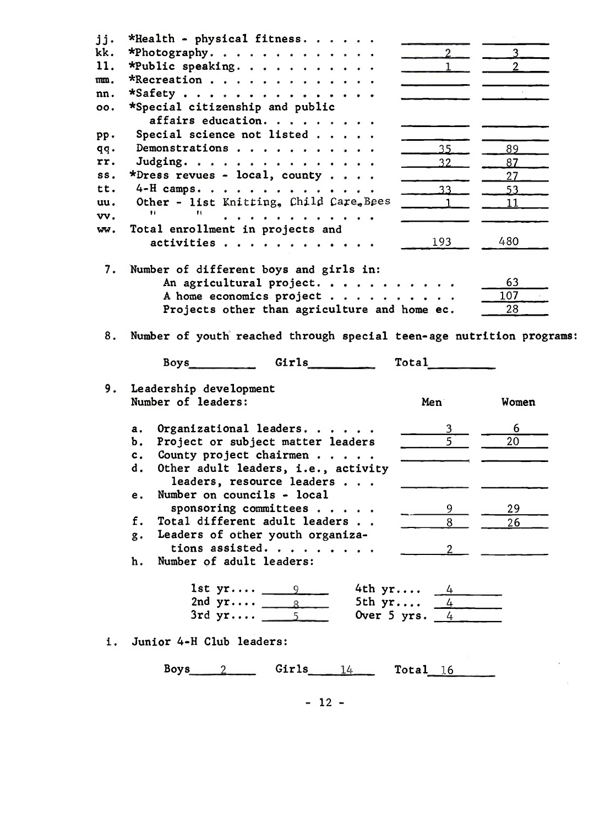| jj.<br>kk.<br>11. | *Health - physical fitness<br>*Photography.<br>*Public speaking.                                                                               | $\sim$ 2<br>$\overline{1}$                                                                                                                                                                                                     | $3$ $\overline{\phantom{1}}$<br>$\frac{2}{\sqrt{2}}$ |
|-------------------|------------------------------------------------------------------------------------------------------------------------------------------------|--------------------------------------------------------------------------------------------------------------------------------------------------------------------------------------------------------------------------------|------------------------------------------------------|
| mn.               | *Recreation                                                                                                                                    |                                                                                                                                                                                                                                |                                                      |
| nn.               | *Safety                                                                                                                                        |                                                                                                                                                                                                                                |                                                      |
| 00.               | *Special citizenship and public                                                                                                                |                                                                                                                                                                                                                                |                                                      |
|                   | affairs education.                                                                                                                             |                                                                                                                                                                                                                                |                                                      |
| PP.               | Special science not listed                                                                                                                     |                                                                                                                                                                                                                                |                                                      |
| qq.               | Demonstrations                                                                                                                                 | 35 <sub>1</sub>                                                                                                                                                                                                                | 89                                                   |
| rr.               | Judging.                                                                                                                                       | 32                                                                                                                                                                                                                             | 87                                                   |
| SS.               | *Dress revues - local, county                                                                                                                  |                                                                                                                                                                                                                                | 27                                                   |
| tt.               | 4-H camps.                                                                                                                                     | 33                                                                                                                                                                                                                             | 53                                                   |
| uu.               | Other - list Knitting, Child Care, Bees                                                                                                        |                                                                                                                                                                                                                                | 11                                                   |
| vv.               | Ħ<br>.                                                                                                                                         |                                                                                                                                                                                                                                |                                                      |
| ww.               | Total enrollment in projects and                                                                                                               |                                                                                                                                                                                                                                |                                                      |
|                   | activities                                                                                                                                     | 193                                                                                                                                                                                                                            | 480                                                  |
| 7.                | Number of different boys and girls in:<br>An agricultural project.<br>A home economics project<br>Projects other than agriculture and home ec. |                                                                                                                                                                                                                                | 63<br>107<br>28                                      |
| 8.                | Number of youth reached through special teen-age nutrition programs:                                                                           |                                                                                                                                                                                                                                |                                                      |
|                   | Boys Girls Communications                                                                                                                      | Total the contract of the contract of the contract of the contract of the contract of the contract of the contract of the contract of the contract of the contract of the contract of the contract of the contract of the cont |                                                      |
|                   |                                                                                                                                                |                                                                                                                                                                                                                                |                                                      |
| 9.                | Leadership development                                                                                                                         |                                                                                                                                                                                                                                |                                                      |
|                   | Number of leaders:                                                                                                                             | Men                                                                                                                                                                                                                            | Women                                                |
|                   |                                                                                                                                                |                                                                                                                                                                                                                                |                                                      |
|                   | Organizational leaders.<br>a.                                                                                                                  |                                                                                                                                                                                                                                | 6                                                    |
|                   | Project or subject matter leaders<br>Ъ.                                                                                                        | $\overline{5}$                                                                                                                                                                                                                 | 20                                                   |
|                   | County project chairmen<br>c.                                                                                                                  |                                                                                                                                                                                                                                |                                                      |
|                   | Other adult leaders, i.e., activity<br>d.                                                                                                      |                                                                                                                                                                                                                                |                                                      |
|                   | leaders, resource leaders                                                                                                                      |                                                                                                                                                                                                                                |                                                      |
|                   | Number on councils - local<br>е.                                                                                                               |                                                                                                                                                                                                                                |                                                      |
|                   | sponsoring committees<br>f.                                                                                                                    | 9                                                                                                                                                                                                                              | 29                                                   |
|                   | Total different adult leaders                                                                                                                  | 8                                                                                                                                                                                                                              | 26                                                   |
|                   | Leaders of other youth organiza-<br>g.                                                                                                         |                                                                                                                                                                                                                                |                                                      |
|                   | tions assisted.                                                                                                                                | 2                                                                                                                                                                                                                              |                                                      |
|                   | Number of adult leaders:<br>h.                                                                                                                 |                                                                                                                                                                                                                                |                                                      |
|                   |                                                                                                                                                |                                                                                                                                                                                                                                |                                                      |
|                   | 1st $yr = 9$                                                                                                                                   | 4th $yr$ 4                                                                                                                                                                                                                     |                                                      |
|                   | 2nd $yr$ 8<br>$3rd yr$ 5                                                                                                                       | 5th $yr$ 4                                                                                                                                                                                                                     |                                                      |
| i.                | Junior 4-H Club leaders:                                                                                                                       | Over 5 yrs. $4$                                                                                                                                                                                                                |                                                      |
|                   | Boys $2$<br>$Girls$ $14$ $Total$ $16$                                                                                                          |                                                                                                                                                                                                                                |                                                      |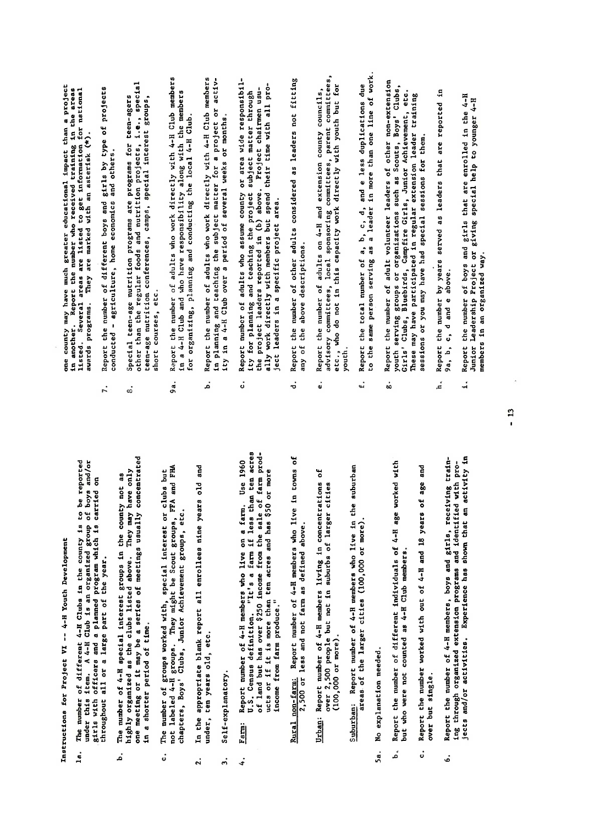Instructions for Project VI -- 4-H Youth Development

- throughout all or a large part of the year.  $1a.$
- number of 4-H special interest groups in the county not In a shorter period of time. The .<br>م
- $\ddot{\circ}$
- under, ten years old, etc.  $\ddot{2}$
- Self-explanatory.  $\ddot{\phantom{0}}$

 $\ddot{ }$ 

- $\mathbb{R}^n$ ing through organized extension programs and identified with projects and or activity in the shown that are activity in the shown that an activity in the shown that an activi income from farm produce." Farm:
	- 2,500 or less and not farm as defined above.
- $(100,000$  or more).
- areas of the larger cities (100,000 or more).
- No explanation needed. Ša.
- but who were not counted as 4-H Club members. á
- over but single. ¿
- $\frac{1}{2}$  contract the number of boys and girls that are enrolled in the 4-H  $\alpha$  $\Xi$   $\Xi$ members in an organized way. ė.

 $\frac{3}{2}$   $\frac{3}{2}$   $\frac{3}{2}$   $\frac{3}{2}$   $\frac{3}{2}$   $\frac{3}{2}$   $\frac{3}{2}$   $\frac{3}{2}$   $\frac{3}{2}$   $\frac{3}{2}$   $\frac{3}{2}$   $\frac{3}{2}$   $\frac{3}{2}$   $\frac{3}{2}$   $\frac{3}{2}$   $\frac{3}{2}$   $\frac{3}{2}$   $\frac{3}{2}$   $\frac{3}{2}$   $\frac{3}{2}$   $\frac{3}{2}$   $\frac{3}{2}$  one county may have much greater educational impact than a project<br>in another. Report the number who received training in the areas<br>listed. Several areas are listed to get information for national awards programs. They are marked with an asterisk (\*).

- 
- $\sum_{i=1}^{n}$  and  $\sum_{i=1}^{n}$  and  $\sum_{i=1}^{n}$  defined by  $\sum_{i=1}^{n}$  defined by  $\sum_{i=1}^{n}$  defined by  $\sum_{i=1}^{n}$ under, ten years old.<br>Geologia i typ as a ag, 5a. No explanation needed.
- $\mathbb{R}$  and different individuals of  $\mathbb{R}$
- .<br>م
- 1a. The number of different 4-H Clubs in the county is to be reported under the second is item. A 4-H Club is an organized group of boys and organized group of an organized group o . given a planned program which is a planned program which is a planned program which is  $\frac{1}{2}$ throughout a large part of the year.<br>The years of the year of the year.  $\mathbf{F}_{\mathbf{a}}^{\mathbf{a}}$  and as a number of  $\mathbf{F}_{\mathbf{a}}^{\mathbf{a}}$  in the county  $\mathbf{F}_{\mathbf{a}}^{\mathbf{a}}$  and  $\mathbf{F}_{\mathbf{a}}^{\mathbf{a}}$  and  $\mathbf{F}_{\mathbf{a}}^{\mathbf{a}}$  and  $\mathbf{F}_{\mathbf{a}}^{\mathbf{a}}$  $\frac{1}{2}$  , we go as the clubs list clubs listed as the clubs list  $\frac{1}{2}$  and  $\frac{1}{2}$  . The clubs list  $\frac{1}{2}$  and  $\frac{1}{2}$  and  $\frac{1}{2}$  and  $\frac{1}{2}$  and  $\frac{1}{2}$  and  $\frac{1}{2}$  and  $\frac{1}{2}$  and  $\frac{1}{2}$  and one meeting or it may be a series of meeting usually concentrated with the series of the meetings usually conce<br>The concentration of meetings usually concentrated with the series of the concentration of the concentration o c. The number of groups with a group with a group with a group of groups with a group of groups but a group of<br>A group of groups but a group of groups but a group of groups and groups and groups and groups and groups and not labels and they might be Scout groups. chapters, Boys' Clubs, Clubs, Clubs, Clubs, Achievement groups, Achievement groups, Maria Groups, Achievement 2. In the appropriate blank report all enrollees nine years old and  $\begin{array}{ccc} \mathbf{F}_{\mathbf{A}} & \mathbf{F}_{\mathbf{A}} & \mathbf{F}_{\mathbf{A}} & \mathbf{F}_{\mathbf{A}} & \mathbf{F}_{\mathbf{A}} & \mathbf{F}_{\mathbf{A}} & \mathbf{F}_{\mathbf{A}} & \mathbf{F}_{\mathbf{A}} & \mathbf{F}_{\mathbf{A}} & \mathbf{F}_{\mathbf{A}} & \mathbf{F}_{\mathbf{A}} & \mathbf{F}_{\mathbf{A}} & \mathbf{F}_{\mathbf{A}} & \mathbf{F}_{\mathbf{A}} & \mathbf{F}_{\mathbf{A}} & \mathbf{F}_{\mathbf{A}} & \mathbf{F$ U.S. Census definition. "It's a farm if the acres to a farm if the acres to a farm if the acres to a farm if t<br>It's a farm if the acres to acres than the acres to a farm if the second to a farm if the second to a farm if  $\begin{array}{ll} \text{...} \ \text{...} \ \text{...} \ \text{...} \ \text{...} \ \text{...} \ \text{...} \ \text{...} \ \text{...} \ \text{...} \ \text{...} \ \text{...} \ \text{...} \ \text{...} \ \text{...} \ \text{...} \ \text{...} \ \text{...} \ \text{...} \ \text{...} \ \text{...} \ \text{...} \ \text{...} \ \text{...} \ \text{...} \ \text{...} \ \text{...} \ \text{...} \ \text{...} \ \text{...} \ \text{...} \ \text{...} \ \text{...} \ \text{...} \ \text{...} \ \text{$ Rural non-farming in the international contract of the end of 4-H members who live in the international contra<br>Figures of 4-H members who live in the end of the end of the end of the end of the end of the end of the end o 2,500 or less and not farmer and not farmer and not farmer and above. It is a defined above. It is a definitiv<br>In definitive above the product of the contract of the contract of the contract of the contract of the contract Urban: Report numbers of 4-H members living in concentrations of 4-H members living in concentrations of 4-H m<br>Urban: A members of 4-H members of 4-H members of 4-H members of 4-H members of 4-H members of 4-H members of over 2,500 per 2,500 per 2,500 per 2,500 per 2,500 per 2,500 per 2,500 per 2,500 per 2,500 per 2,500 per 2,500<br>(100,000 per 2,500 per 2,500 per 2,500 per 2,500 per 2,500 per 2,500 per 2,500 per 2,500 per 2,500 per 2,500 p<br> Burban: Report numbers who live in the subset of the subset of the subset of the subset of the subset of the s areas of the larger cities (100,000 or more). It is a second the larger conditions of the large second the lar<br>In the larger conditions of the larger conditions of the larger conditions of the larger conditions of the lar ċ.
	- .<br>J
- .<br>فا
- t.
- Report the number of adult volunteer leaders of other non-extension youth serving groups or organizations such as Scouts, Boys' Clubs, cirls' Clubs, Bluebirds, Campfire Girls, Junior Achievement, etc. These may have participated in regular extension leader training sessions or you may have had special sessions for them. ė.
- 
- awards programs. They are marked with an asterisk (\*) .  $\begin{array}{ccc} \mathbf{r} & \mathbf{r} & \mathbf{r} \\ \mathbf{r} & \mathbf{r} & \mathbf{r} \\ \mathbf{r} & \mathbf{r} & \mathbf{r} \end{array}$  $\ddot{a}$  - $\begin{array}{cc} \mathbf{e} & \mathbf{e} \\ \mathbf{f} & \mathbf{e} \end{array}$  $\frac{1}{2}$  than the regular foods and nutrition projects, i.e., special projects, i.e., special projects, i.e., special projects, i.e., special projects, i.e., special projects, i.e., special projects, i.e., special projec  $\frac{1}{2}$  $\Xi$  or  $\Xi$ 9a. Report the number of adults who work directly with 4-H Club members  $\frac{1}{4}$  $f_{\rm eff}$  organizing, planning and conducting the local 4-H  $\alpha$  $\mathbf{a}$  adults who work directly with  $\mathbf{a}$ in planning and teaching the subject matter for <sup>a</sup> project or activ- $\ddot{a}$  in a  $\ddot{b}$  in a period of several weeks or monother  $\ddot{b}$  and  $\ddot{b}$  in a period of several weeks or  $\ddot{b}$  in a period of  $\ddot{b}$  in a period of  $\ddot{b}$  in a period of  $\ddot{b}$  in a period of  $\ddot{b}$  $\sum_{i=1}^{\infty}$  and adults who assume county or area wide responsibility or area wide responsibility or area wide responsibility. ity for planning and teaching the project subject subject subject subject subject subject  $\mathbf{r}_i$  $t = \frac{1}{2}$  $\frac{3}{2}$  with  $\frac{3}{2}$  members but spend the interval pro- $\frac{1}{2}$ ject area.  $\mathcal{L}$  report the number of other adults considered as leaders not fitting  $\mathcal{L}$  $\mathbf{a}$  the above descriptions. The above descriptions of the above descriptions.  $\mathbb{R}$ e. Report the number of adults on  $4$  and  $\mathbb{R}$  and extension county county county county county county county county county county county county county county county county county county county county county c  $\overline{a}$ dvisoring committees, parent committees, parent committees, parent committees, parent committees, parent committees,  $\overline{a}$  $e^{i\theta}$  do not in this capacity with  $e^{i\theta}$  and  $e^{i\theta}$  with  $e^{i\theta}$  $\overline{u}$  $\begin{array}{ll} \mathbf{e}, & \mathbf{e}, & \mathbf{e}, \\ \mathbf{e}, & \mathbf{e}, & \mathbf{e} \end{array}$  $\alpha$  is the same per. g. Report the number of adult volunteer leaders of other non-extension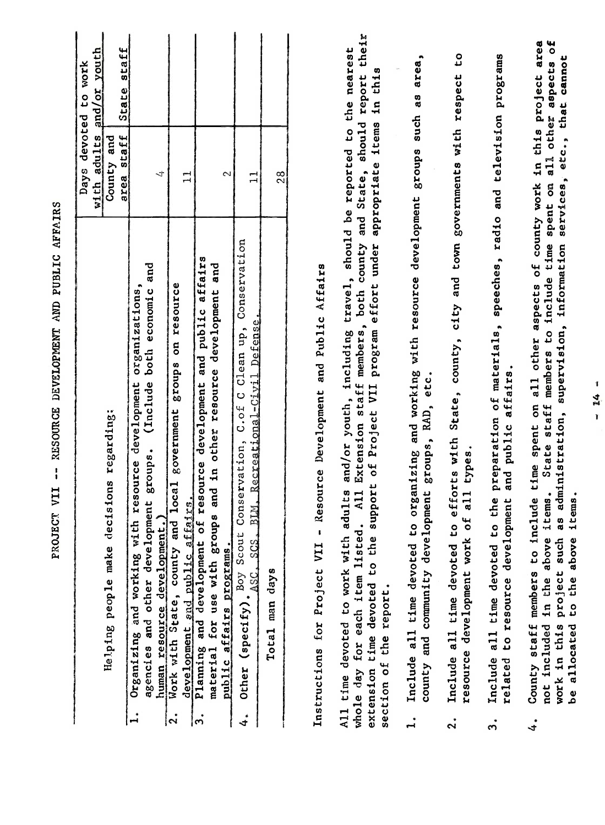| $\overline{\mathbf{c}}$<br>area<br>and/or youth<br>State staff<br>the nearest<br>٥J<br>preparation of materials, speeches, radio and television programs<br>area,<br>services, etc., that cannot<br>aspects<br>to work<br>in this<br>report<br>efforts with State, county, city and town governments with respect<br>County staff members to include time spent on all other aspects of county work in this project<br>and working with resource development groups such as<br>on all other<br>devoted<br>should<br><b>items</b><br>including travel, should be reported to<br>adults<br>and<br>area staff<br>appropriate<br>County<br>Days<br>and State,<br>ム<br>28<br>2<br>$\mathbf{1}$<br>$\mathbf{1}$<br>with<br>spent<br>Conservation, C.of C Clean up, Conservation<br>Extension staff members, both county<br>time<br>supervision, information<br>program effort under<br>of resource development and public affairs<br>and<br>and<br>- Resource Development and Public Affairs<br>to include<br>human resource development.)<br>Work with State, county and local government groups on resource<br>organizations,<br>both economic<br>for use with groups and in other resource development<br>Recreational-Civil Defense<br>members<br>public affairs.<br>opment groups, RAD, etc.<br>(Include<br>Organizing and working with resource development<br>VII<br>adults and/or youth,<br>staff<br>of Project<br>administration,<br>ecisions regarding:<br>development groups.<br>State<br>all types.<br>to organizing<br>and<br>support<br>A <sub>11</sub><br>items.<br>items.<br>to the<br>related to resource development<br>development and public affairs.<br>BLM.<br><b>bf</b><br>3<br>a<br>٥<br>u<br>whole day for each item listed.<br>Δ<br>$\frac{\text{(specific)}\ \text{S}}{\text{(SIC)}\ \text{(SIC)}}$<br>All time devoted to work with<br>extension time devoted to the<br>not included in the above<br>such<br>to the above<br>county and community deve<br>resource development work<br>affairs programs.<br>Planning and development<br>material for use with gro<br>Helping people make<br>Instructions for Project VII<br>Include all time devoted<br>Include all time devoted<br>Include all time devoted<br>project<br>Total man days<br>agencies and other<br>section of the report.<br>be allocated<br>in this<br>pub <sub>11c</sub><br>Other<br>work<br>$\mathbf{I}$<br>ကြ<br> z <br>4.<br>$\mathbf{L}$<br>$\ddot{\mathbf{a}}$<br>4.<br>$\ddot{ }$ |  |       |
|---------------------------------------------------------------------------------------------------------------------------------------------------------------------------------------------------------------------------------------------------------------------------------------------------------------------------------------------------------------------------------------------------------------------------------------------------------------------------------------------------------------------------------------------------------------------------------------------------------------------------------------------------------------------------------------------------------------------------------------------------------------------------------------------------------------------------------------------------------------------------------------------------------------------------------------------------------------------------------------------------------------------------------------------------------------------------------------------------------------------------------------------------------------------------------------------------------------------------------------------------------------------------------------------------------------------------------------------------------------------------------------------------------------------------------------------------------------------------------------------------------------------------------------------------------------------------------------------------------------------------------------------------------------------------------------------------------------------------------------------------------------------------------------------------------------------------------------------------------------------------------------------------------------------------------------------------------------------------------------------------------------------------------------------------------------------------------------------------------------------------------------------------------------------------------------------------------------------------------------------------------------------------------------------------------------------------------------------------------------------------------------------------------------------------------------------------------------------------------|--|-------|
|                                                                                                                                                                                                                                                                                                                                                                                                                                                                                                                                                                                                                                                                                                                                                                                                                                                                                                                                                                                                                                                                                                                                                                                                                                                                                                                                                                                                                                                                                                                                                                                                                                                                                                                                                                                                                                                                                                                                                                                                                                                                                                                                                                                                                                                                                                                                                                                                                                                                                 |  |       |
|                                                                                                                                                                                                                                                                                                                                                                                                                                                                                                                                                                                                                                                                                                                                                                                                                                                                                                                                                                                                                                                                                                                                                                                                                                                                                                                                                                                                                                                                                                                                                                                                                                                                                                                                                                                                                                                                                                                                                                                                                                                                                                                                                                                                                                                                                                                                                                                                                                                                                 |  |       |
|                                                                                                                                                                                                                                                                                                                                                                                                                                                                                                                                                                                                                                                                                                                                                                                                                                                                                                                                                                                                                                                                                                                                                                                                                                                                                                                                                                                                                                                                                                                                                                                                                                                                                                                                                                                                                                                                                                                                                                                                                                                                                                                                                                                                                                                                                                                                                                                                                                                                                 |  |       |
|                                                                                                                                                                                                                                                                                                                                                                                                                                                                                                                                                                                                                                                                                                                                                                                                                                                                                                                                                                                                                                                                                                                                                                                                                                                                                                                                                                                                                                                                                                                                                                                                                                                                                                                                                                                                                                                                                                                                                                                                                                                                                                                                                                                                                                                                                                                                                                                                                                                                                 |  |       |
|                                                                                                                                                                                                                                                                                                                                                                                                                                                                                                                                                                                                                                                                                                                                                                                                                                                                                                                                                                                                                                                                                                                                                                                                                                                                                                                                                                                                                                                                                                                                                                                                                                                                                                                                                                                                                                                                                                                                                                                                                                                                                                                                                                                                                                                                                                                                                                                                                                                                                 |  |       |
|                                                                                                                                                                                                                                                                                                                                                                                                                                                                                                                                                                                                                                                                                                                                                                                                                                                                                                                                                                                                                                                                                                                                                                                                                                                                                                                                                                                                                                                                                                                                                                                                                                                                                                                                                                                                                                                                                                                                                                                                                                                                                                                                                                                                                                                                                                                                                                                                                                                                                 |  |       |
|                                                                                                                                                                                                                                                                                                                                                                                                                                                                                                                                                                                                                                                                                                                                                                                                                                                                                                                                                                                                                                                                                                                                                                                                                                                                                                                                                                                                                                                                                                                                                                                                                                                                                                                                                                                                                                                                                                                                                                                                                                                                                                                                                                                                                                                                                                                                                                                                                                                                                 |  |       |
|                                                                                                                                                                                                                                                                                                                                                                                                                                                                                                                                                                                                                                                                                                                                                                                                                                                                                                                                                                                                                                                                                                                                                                                                                                                                                                                                                                                                                                                                                                                                                                                                                                                                                                                                                                                                                                                                                                                                                                                                                                                                                                                                                                                                                                                                                                                                                                                                                                                                                 |  |       |
|                                                                                                                                                                                                                                                                                                                                                                                                                                                                                                                                                                                                                                                                                                                                                                                                                                                                                                                                                                                                                                                                                                                                                                                                                                                                                                                                                                                                                                                                                                                                                                                                                                                                                                                                                                                                                                                                                                                                                                                                                                                                                                                                                                                                                                                                                                                                                                                                                                                                                 |  | their |
|                                                                                                                                                                                                                                                                                                                                                                                                                                                                                                                                                                                                                                                                                                                                                                                                                                                                                                                                                                                                                                                                                                                                                                                                                                                                                                                                                                                                                                                                                                                                                                                                                                                                                                                                                                                                                                                                                                                                                                                                                                                                                                                                                                                                                                                                                                                                                                                                                                                                                 |  |       |
|                                                                                                                                                                                                                                                                                                                                                                                                                                                                                                                                                                                                                                                                                                                                                                                                                                                                                                                                                                                                                                                                                                                                                                                                                                                                                                                                                                                                                                                                                                                                                                                                                                                                                                                                                                                                                                                                                                                                                                                                                                                                                                                                                                                                                                                                                                                                                                                                                                                                                 |  |       |
|                                                                                                                                                                                                                                                                                                                                                                                                                                                                                                                                                                                                                                                                                                                                                                                                                                                                                                                                                                                                                                                                                                                                                                                                                                                                                                                                                                                                                                                                                                                                                                                                                                                                                                                                                                                                                                                                                                                                                                                                                                                                                                                                                                                                                                                                                                                                                                                                                                                                                 |  |       |
|                                                                                                                                                                                                                                                                                                                                                                                                                                                                                                                                                                                                                                                                                                                                                                                                                                                                                                                                                                                                                                                                                                                                                                                                                                                                                                                                                                                                                                                                                                                                                                                                                                                                                                                                                                                                                                                                                                                                                                                                                                                                                                                                                                                                                                                                                                                                                                                                                                                                                 |  |       |
| 1<br>4<br>$\mathbf{I}$                                                                                                                                                                                                                                                                                                                                                                                                                                                                                                                                                                                                                                                                                                                                                                                                                                                                                                                                                                                                                                                                                                                                                                                                                                                                                                                                                                                                                                                                                                                                                                                                                                                                                                                                                                                                                                                                                                                                                                                                                                                                                                                                                                                                                                                                                                                                                                                                                                                          |  |       |
|                                                                                                                                                                                                                                                                                                                                                                                                                                                                                                                                                                                                                                                                                                                                                                                                                                                                                                                                                                                                                                                                                                                                                                                                                                                                                                                                                                                                                                                                                                                                                                                                                                                                                                                                                                                                                                                                                                                                                                                                                                                                                                                                                                                                                                                                                                                                                                                                                                                                                 |  |       |

PROJECT VII -- RESOURCE DEVELOPMENT AND PUBLIC AFFAIRS